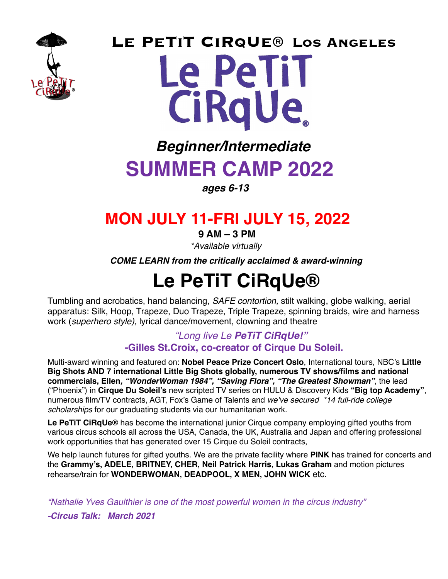

**0 Le PeTiT CiRqUe® Los Angeles Le Petit** CiRqUe.

# *Beginner/Intermediate* **SUMMER CAMP 2022**

*ages 6-13*

# **MON JULY 11-FRI JULY 15, 2022**

 **9 AM – 3 PM**

*\*Available virtually* 

 *COME LEARN from the critically acclaimed & award-winning*

# **Le PeTiT CiRqUe®**

Tumbling and acrobatics, hand balancing, *SAFE contortion,* stilt walking, globe walking, aerial apparatus: Silk, Hoop, Trapeze, Duo Trapeze, Triple Trapeze, spinning braids, wire and harness work (*superhero style),* lyrical dance/movement, clowning and theatre

## *"Long live Le PeTiT CiRqUe!"*   **-Gilles St.Croix, co-creator of Cirque Du Soleil.**

Multi-award winning and featured on: **Nobel Peace Prize Concert Oslo**, International tours, NBC's **Little Big Shots AND 7 international Little Big Shots globally, numerous TV shows/films and national commercials, Ellen***, "WonderWoman 1984", "Saving Flora", "The Greatest Showman"*, the lead ("Phoenix") in **Cirque Du Soleil's** new scripted TV series on HULU & Discovery Kids **"Big top Academy"**, numerous film/TV contracts, AGT, Fox's Game of Talents and *we've secured \*14 full-ride college scholarships* for our graduating students via our humanitarian work.

**Le PeTiT CiRqUe®** has become the international junior Cirque company employing gifted youths from various circus schools all across the USA, Canada, the UK, Australia and Japan and offering professional work opportunities that has generated over 15 Cirque du Soleil contracts,

We help launch futures for gifted youths. We are the private facility where **PINK** has trained for concerts and the **Grammy's, ADELE, BRITNEY, CHER, Neil Patrick Harris, Lukas Graham** and motion pictures rehearse/train for **WONDERWOMAN, DEADPOOL, X MEN, JOHN WICK** etc.

*"Nathalie Yves Gaulthier is one of the most powerful women in the circus industry"*

*-Circus Talk: March 2021*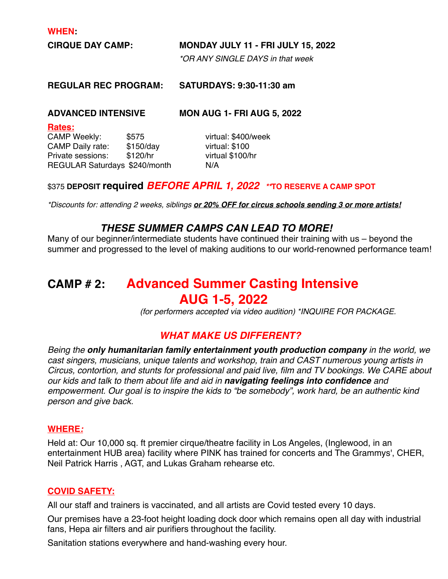**WHEN:** 

**CIRQUE DAY CAMP: MONDAY JULY 11 - FRI JULY 15, 2022**

*\*OR ANY SINGLE DAYS in that week*

**REGULAR REC PROGRAM: SATURDAYS: 9:30-11:30 am**

**ADVANCED INTENSIVE MON AUG 1- FRI AUG 5, 2022**

**Rates:** 

CAMP Weekly: \$575 virtual: \$400/week CAMP Daily rate: \$150/day virtual: \$100 Private sessions: \$120/hr virtual \$100/hr REGULAR Saturdays \$240/month N/A

### \$375 **DEPOSIT required** *BEFORE APRIL 1, 2022 \*\****TO RESERVE A CAMP SPOT**

*\*Discounts for: attending 2 weeks, siblings or 20% OFF for circus schools sending 3 or more artists!*

## *THESE SUMMER CAMPS CAN LEAD TO MORE!*

Many of our beginner/intermediate students have continued their training with us – beyond the summer and progressed to the level of making auditions to our world-renowned performance team!

# **CAMP # 2: Advanced Summer Casting Intensive AUG 1-5, 2022**

 *(for performers accepted via video audition) \*INQUIRE FOR PACKAGE.* 

## *WHAT MAKE US DIFFERENT?*

*Being the only humanitarian family entertainment youth production company in the world, we cast singers, musicians, unique talents and workshop, train and CAST numerous young artists in Circus, contortion, and stunts for professional and paid live, film and TV bookings. We CARE about our kids and talk to them about life and aid in navigating feelings into confidence and empowerment. Our goal is to inspire the kids to "be somebody", work hard, be an authentic kind person and give back.* 

#### **WHERE***:*

Held at: Our 10,000 sq. ft premier cirque/theatre facility in Los Angeles, (Inglewood, in an entertainment HUB area) facility where PINK has trained for concerts and The Grammys', CHER, Neil Patrick Harris , AGT, and Lukas Graham rehearse etc.

#### **COVID SAFETY:**

All our staff and trainers is vaccinated, and all artists are Covid tested every 10 days.

Our premises have a 23-foot height loading dock door which remains open all day with industrial fans, Hepa air filters and air purifiers throughout the facility.

Sanitation stations everywhere and hand-washing every hour.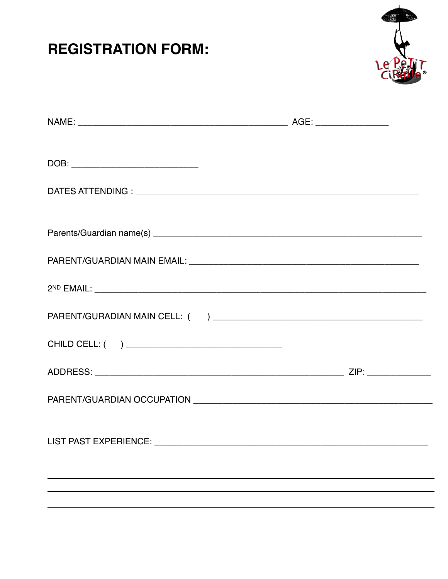# **REGISTRATION FORM:**



| LIST PAST EXPERIENCE: _______________________ |  |  |
|-----------------------------------------------|--|--|
|                                               |  |  |
|                                               |  |  |
|                                               |  |  |